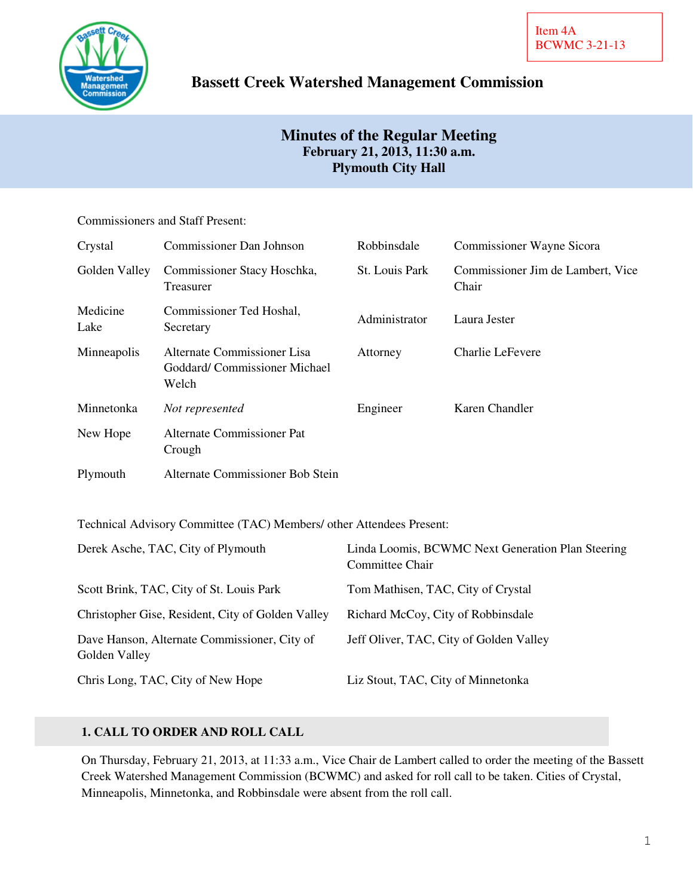

# **Bassett Creek Watershed Management Commission**

# **Minutes of the Regular Meeting February 21, 2013, 11:30 a.m. Plymouth City Hall**

## Commissioners and Staff Present:

| Crystal          | Commissioner Dan Johnson                                             | Robbinsdale    | Commissioner Wayne Sicora                  |
|------------------|----------------------------------------------------------------------|----------------|--------------------------------------------|
| Golden Valley    | Commissioner Stacy Hoschka,<br>Treasurer                             | St. Louis Park | Commissioner Jim de Lambert, Vice<br>Chair |
| Medicine<br>Lake | Commissioner Ted Hoshal,<br>Secretary                                | Administrator  | Laura Jester                               |
| Minneapolis      | Alternate Commissioner Lisa<br>Goddard/Commissioner Michael<br>Welch | Attorney       | Charlie LeFevere                           |
| Minnetonka       | Not represented                                                      | Engineer       | Karen Chandler                             |
| New Hope         | Alternate Commissioner Pat<br>Crough                                 |                |                                            |
| Plymouth         | Alternate Commissioner Bob Stein                                     |                |                                            |

Technical Advisory Committee (TAC) Members/ other Attendees Present:

| Derek Asche, TAC, City of Plymouth                            | Linda Loomis, BCWMC Next Generation Plan Steering<br>Committee Chair |
|---------------------------------------------------------------|----------------------------------------------------------------------|
| Scott Brink, TAC, City of St. Louis Park                      | Tom Mathisen, TAC, City of Crystal                                   |
| Christopher Gise, Resident, City of Golden Valley             | Richard McCoy, City of Robbinsdale                                   |
| Dave Hanson, Alternate Commissioner, City of<br>Golden Valley | Jeff Oliver, TAC, City of Golden Valley                              |
| Chris Long, TAC, City of New Hope                             | Liz Stout, TAC, City of Minnetonka                                   |

# **1. CALL TO ORDER AND ROLL CALL**

On Thursday, February 21, 2013, at 11:33 a.m., Vice Chair de Lambert called to order the meeting of the Bassett Creek Watershed Management Commission (BCWMC) and asked for roll call to be taken. Cities of Crystal, Minneapolis, Minnetonka, and Robbinsdale were absent from the roll call.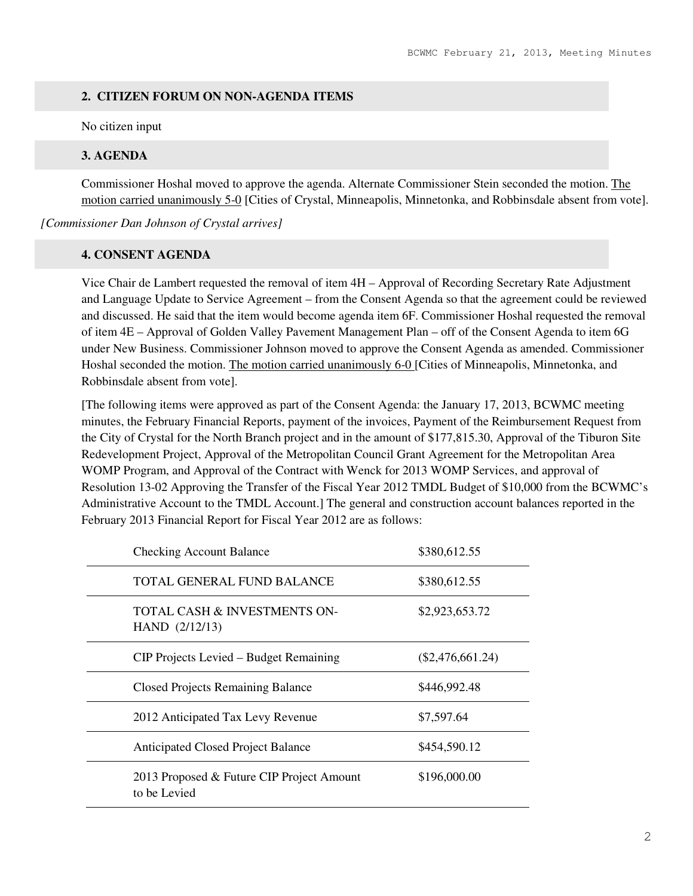### **2. CITIZEN FORUM ON NON-AGENDA ITEMS**

No citizen input

### **3. AGENDA**

Commissioner Hoshal moved to approve the agenda. Alternate Commissioner Stein seconded the motion. The motion carried unanimously 5-0 [Cities of Crystal, Minneapolis, Minnetonka, and Robbinsdale absent from vote].

*[Commissioner Dan Johnson of Crystal arrives]* 

### **4. CONSENT AGENDA**

Vice Chair de Lambert requested the removal of item 4H – Approval of Recording Secretary Rate Adjustment and Language Update to Service Agreement – from the Consent Agenda so that the agreement could be reviewed and discussed. He said that the item would become agenda item 6F. Commissioner Hoshal requested the removal of item 4E – Approval of Golden Valley Pavement Management Plan – off of the Consent Agenda to item 6G under New Business. Commissioner Johnson moved to approve the Consent Agenda as amended. Commissioner Hoshal seconded the motion. The motion carried unanimously 6-0 [Cities of Minneapolis, Minnetonka, and Robbinsdale absent from vote].

[The following items were approved as part of the Consent Agenda: the January 17, 2013, BCWMC meeting minutes, the February Financial Reports, payment of the invoices, Payment of the Reimbursement Request from the City of Crystal for the North Branch project and in the amount of \$177,815.30, Approval of the Tiburon Site Redevelopment Project, Approval of the Metropolitan Council Grant Agreement for the Metropolitan Area WOMP Program, and Approval of the Contract with Wenck for 2013 WOMP Services, and approval of Resolution 13-02 Approving the Transfer of the Fiscal Year 2012 TMDL Budget of \$10,000 from the BCWMC's Administrative Account to the TMDL Account.] The general and construction account balances reported in the February 2013 Financial Report for Fiscal Year 2012 are as follows:

| <b>Checking Account Balance</b>                           | \$380,612.55       |
|-----------------------------------------------------------|--------------------|
| TOTAL GENERAL FUND BALANCE                                | \$380,612.55       |
| TOTAL CASH & INVESTMENTS ON-<br>HAND (2/12/13)            | \$2,923,653.72     |
| CIP Projects Levied – Budget Remaining                    | $(\$2,476,661.24)$ |
| <b>Closed Projects Remaining Balance</b>                  | \$446,992.48       |
| 2012 Anticipated Tax Levy Revenue                         | \$7,597.64         |
| <b>Anticipated Closed Project Balance</b>                 | \$454,590.12       |
| 2013 Proposed & Future CIP Project Amount<br>to be Levied | \$196,000.00       |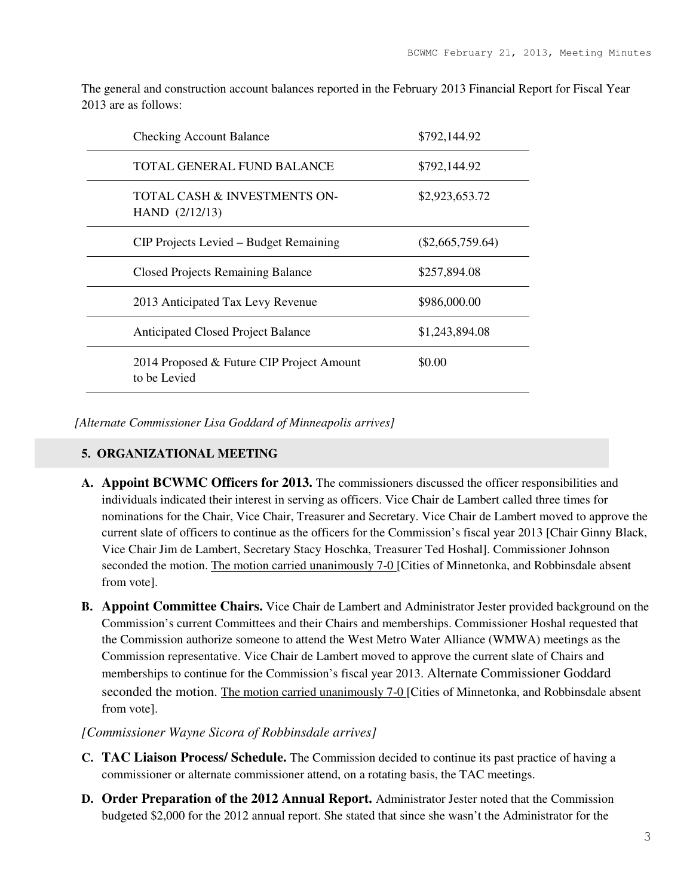The general and construction account balances reported in the February 2013 Financial Report for Fiscal Year 2013 are as follows:

| <b>Checking Account Balance</b>                           | \$792,144.92       |
|-----------------------------------------------------------|--------------------|
| TOTAL GENERAL FUND BALANCE                                | \$792,144.92       |
| TOTAL CASH & INVESTMENTS ON-<br>HAND (2/12/13)            | \$2,923,653.72     |
| CIP Projects Levied – Budget Remaining                    | $(\$2,665,759.64)$ |
| <b>Closed Projects Remaining Balance</b>                  | \$257,894.08       |
| 2013 Anticipated Tax Levy Revenue                         | \$986,000.00       |
| <b>Anticipated Closed Project Balance</b>                 | \$1,243,894.08     |
| 2014 Proposed & Future CIP Project Amount<br>to be Levied | \$0.00             |

*[Alternate Commissioner Lisa Goddard of Minneapolis arrives]* 

# **5. ORGANIZATIONAL MEETING**

- **A. Appoint BCWMC Officers for 2013.** The commissioners discussed the officer responsibilities and individuals indicated their interest in serving as officers. Vice Chair de Lambert called three times for nominations for the Chair, Vice Chair, Treasurer and Secretary. Vice Chair de Lambert moved to approve the current slate of officers to continue as the officers for the Commission's fiscal year 2013 [Chair Ginny Black, Vice Chair Jim de Lambert, Secretary Stacy Hoschka, Treasurer Ted Hoshal]. Commissioner Johnson seconded the motion. The motion carried unanimously 7-0 [Cities of Minnetonka, and Robbinsdale absent from vote].
- **B. Appoint Committee Chairs.** Vice Chair de Lambert and Administrator Jester provided background on the Commission's current Committees and their Chairs and memberships. Commissioner Hoshal requested that the Commission authorize someone to attend the West Metro Water Alliance (WMWA) meetings as the Commission representative. Vice Chair de Lambert moved to approve the current slate of Chairs and memberships to continue for the Commission's fiscal year 2013. Alternate Commissioner Goddard seconded the motion. The motion carried unanimously 7-0 [Cities of Minnetonka, and Robbinsdale absent from vote].

#### *[Commissioner Wayne Sicora of Robbinsdale arrives]*

- **C. TAC Liaison Process/ Schedule.** The Commission decided to continue its past practice of having a commissioner or alternate commissioner attend, on a rotating basis, the TAC meetings.
- **D. Order Preparation of the 2012 Annual Report.** Administrator Jester noted that the Commission budgeted \$2,000 for the 2012 annual report. She stated that since she wasn't the Administrator for the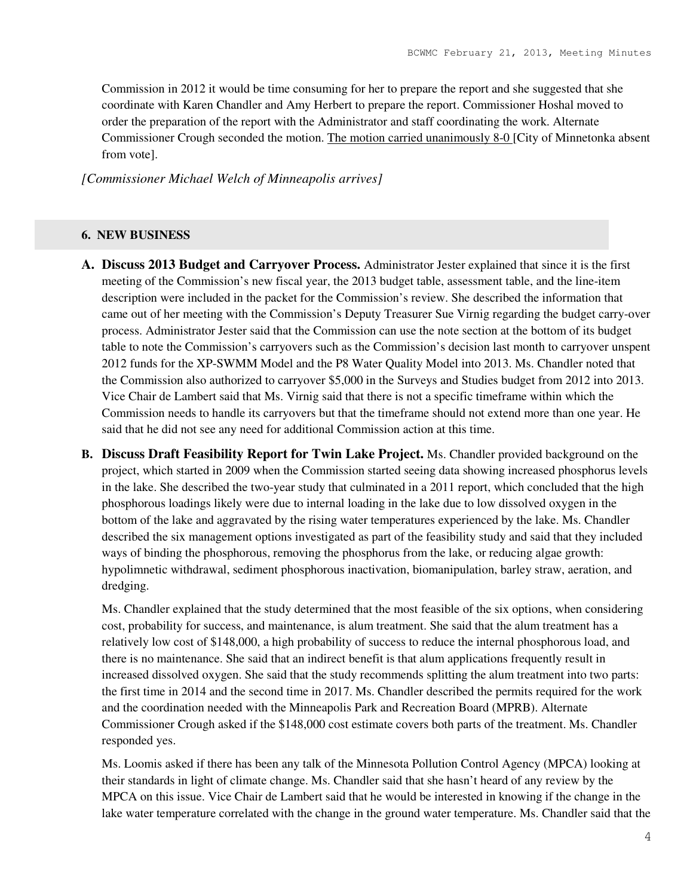Commission in 2012 it would be time consuming for her to prepare the report and she suggested that she coordinate with Karen Chandler and Amy Herbert to prepare the report. Commissioner Hoshal moved to order the preparation of the report with the Administrator and staff coordinating the work. Alternate Commissioner Crough seconded the motion. The motion carried unanimously 8-0 [City of Minnetonka absent from vote].

*[Commissioner Michael Welch of Minneapolis arrives]*

#### **6. NEW BUSINESS**

- **A. Discuss 2013 Budget and Carryover Process.** Administrator Jester explained that since it is the first meeting of the Commission's new fiscal year, the 2013 budget table, assessment table, and the line-item description were included in the packet for the Commission's review. She described the information that came out of her meeting with the Commission's Deputy Treasurer Sue Virnig regarding the budget carry-over process. Administrator Jester said that the Commission can use the note section at the bottom of its budget table to note the Commission's carryovers such as the Commission's decision last month to carryover unspent 2012 funds for the XP-SWMM Model and the P8 Water Quality Model into 2013. Ms. Chandler noted that the Commission also authorized to carryover \$5,000 in the Surveys and Studies budget from 2012 into 2013. Vice Chair de Lambert said that Ms. Virnig said that there is not a specific timeframe within which the Commission needs to handle its carryovers but that the timeframe should not extend more than one year. He said that he did not see any need for additional Commission action at this time.
- **B. Discuss Draft Feasibility Report for Twin Lake Project.** Ms. Chandler provided background on the project, which started in 2009 when the Commission started seeing data showing increased phosphorus levels in the lake. She described the two-year study that culminated in a 2011 report, which concluded that the high phosphorous loadings likely were due to internal loading in the lake due to low dissolved oxygen in the bottom of the lake and aggravated by the rising water temperatures experienced by the lake. Ms. Chandler described the six management options investigated as part of the feasibility study and said that they included ways of binding the phosphorous, removing the phosphorus from the lake, or reducing algae growth: hypolimnetic withdrawal, sediment phosphorous inactivation, biomanipulation, barley straw, aeration, and dredging.

Ms. Chandler explained that the study determined that the most feasible of the six options, when considering cost, probability for success, and maintenance, is alum treatment. She said that the alum treatment has a relatively low cost of \$148,000, a high probability of success to reduce the internal phosphorous load, and there is no maintenance. She said that an indirect benefit is that alum applications frequently result in increased dissolved oxygen. She said that the study recommends splitting the alum treatment into two parts: the first time in 2014 and the second time in 2017. Ms. Chandler described the permits required for the work and the coordination needed with the Minneapolis Park and Recreation Board (MPRB). Alternate Commissioner Crough asked if the \$148,000 cost estimate covers both parts of the treatment. Ms. Chandler responded yes.

Ms. Loomis asked if there has been any talk of the Minnesota Pollution Control Agency (MPCA) looking at their standards in light of climate change. Ms. Chandler said that she hasn't heard of any review by the MPCA on this issue. Vice Chair de Lambert said that he would be interested in knowing if the change in the lake water temperature correlated with the change in the ground water temperature. Ms. Chandler said that the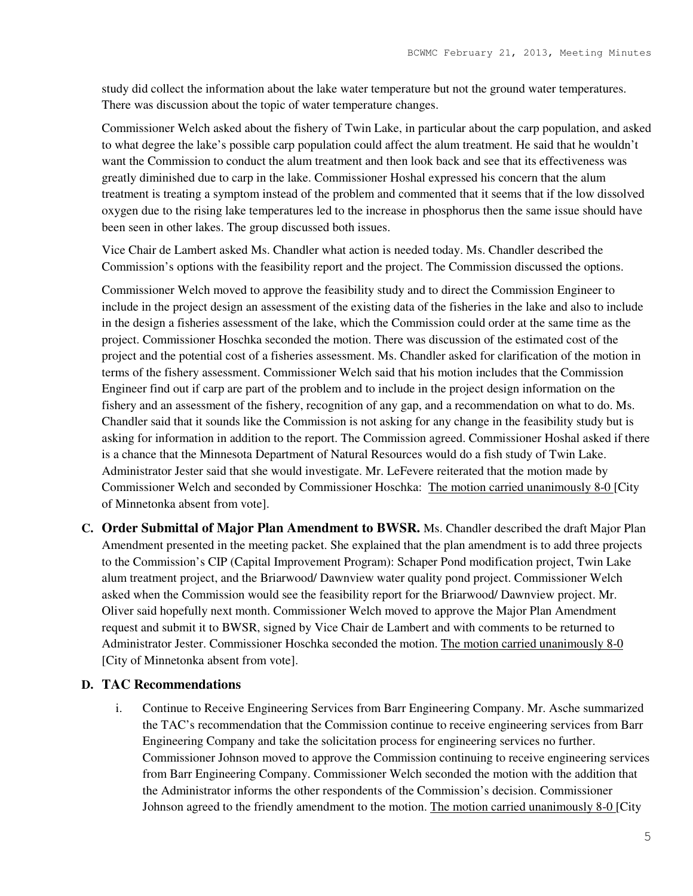study did collect the information about the lake water temperature but not the ground water temperatures. There was discussion about the topic of water temperature changes.

Commissioner Welch asked about the fishery of Twin Lake, in particular about the carp population, and asked to what degree the lake's possible carp population could affect the alum treatment. He said that he wouldn't want the Commission to conduct the alum treatment and then look back and see that its effectiveness was greatly diminished due to carp in the lake. Commissioner Hoshal expressed his concern that the alum treatment is treating a symptom instead of the problem and commented that it seems that if the low dissolved oxygen due to the rising lake temperatures led to the increase in phosphorus then the same issue should have been seen in other lakes. The group discussed both issues.

Vice Chair de Lambert asked Ms. Chandler what action is needed today. Ms. Chandler described the Commission's options with the feasibility report and the project. The Commission discussed the options.

Commissioner Welch moved to approve the feasibility study and to direct the Commission Engineer to include in the project design an assessment of the existing data of the fisheries in the lake and also to include in the design a fisheries assessment of the lake, which the Commission could order at the same time as the project. Commissioner Hoschka seconded the motion. There was discussion of the estimated cost of the project and the potential cost of a fisheries assessment. Ms. Chandler asked for clarification of the motion in terms of the fishery assessment. Commissioner Welch said that his motion includes that the Commission Engineer find out if carp are part of the problem and to include in the project design information on the fishery and an assessment of the fishery, recognition of any gap, and a recommendation on what to do. Ms. Chandler said that it sounds like the Commission is not asking for any change in the feasibility study but is asking for information in addition to the report. The Commission agreed. Commissioner Hoshal asked if there is a chance that the Minnesota Department of Natural Resources would do a fish study of Twin Lake. Administrator Jester said that she would investigate. Mr. LeFevere reiterated that the motion made by Commissioner Welch and seconded by Commissioner Hoschka: The motion carried unanimously 8-0 [City of Minnetonka absent from vote].

**C. Order Submittal of Major Plan Amendment to BWSR.** Ms. Chandler described the draft Major Plan Amendment presented in the meeting packet. She explained that the plan amendment is to add three projects to the Commission's CIP (Capital Improvement Program): Schaper Pond modification project, Twin Lake alum treatment project, and the Briarwood/ Dawnview water quality pond project. Commissioner Welch asked when the Commission would see the feasibility report for the Briarwood/ Dawnview project. Mr. Oliver said hopefully next month. Commissioner Welch moved to approve the Major Plan Amendment request and submit it to BWSR, signed by Vice Chair de Lambert and with comments to be returned to Administrator Jester. Commissioner Hoschka seconded the motion. The motion carried unanimously 8-0 [City of Minnetonka absent from vote].

# **D. TAC Recommendations**

i. Continue to Receive Engineering Services from Barr Engineering Company. Mr. Asche summarized the TAC's recommendation that the Commission continue to receive engineering services from Barr Engineering Company and take the solicitation process for engineering services no further. Commissioner Johnson moved to approve the Commission continuing to receive engineering services from Barr Engineering Company. Commissioner Welch seconded the motion with the addition that the Administrator informs the other respondents of the Commission's decision. Commissioner Johnson agreed to the friendly amendment to the motion. The motion carried unanimously 8-0 [City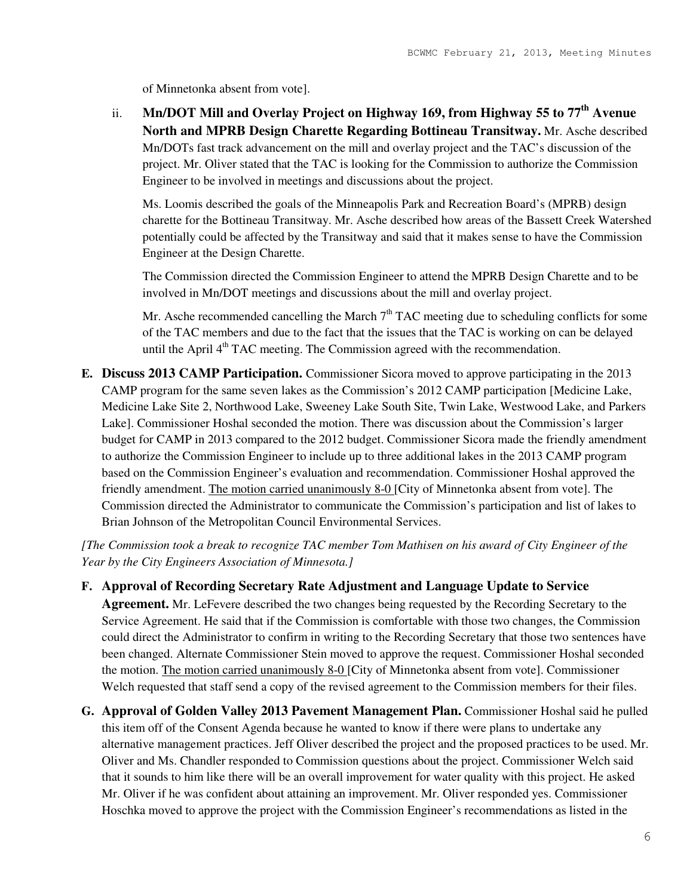of Minnetonka absent from vote].

ii. **Mn/DOT Mill and Overlay Project on Highway 169, from Highway 55 to 77th Avenue North and MPRB Design Charette Regarding Bottineau Transitway.** Mr. Asche described Mn/DOTs fast track advancement on the mill and overlay project and the TAC's discussion of the project. Mr. Oliver stated that the TAC is looking for the Commission to authorize the Commission Engineer to be involved in meetings and discussions about the project.

Ms. Loomis described the goals of the Minneapolis Park and Recreation Board's (MPRB) design charette for the Bottineau Transitway. Mr. Asche described how areas of the Bassett Creek Watershed potentially could be affected by the Transitway and said that it makes sense to have the Commission Engineer at the Design Charette.

The Commission directed the Commission Engineer to attend the MPRB Design Charette and to be involved in Mn/DOT meetings and discussions about the mill and overlay project.

Mr. Asche recommended cancelling the March  $7<sup>th</sup> TAC$  meeting due to scheduling conflicts for some of the TAC members and due to the fact that the issues that the TAC is working on can be delayed until the April  $4<sup>th</sup> TAC$  meeting. The Commission agreed with the recommendation.

**E. Discuss 2013 CAMP Participation.** Commissioner Sicora moved to approve participating in the 2013 CAMP program for the same seven lakes as the Commission's 2012 CAMP participation [Medicine Lake, Medicine Lake Site 2, Northwood Lake, Sweeney Lake South Site, Twin Lake, Westwood Lake, and Parkers Lake]. Commissioner Hoshal seconded the motion. There was discussion about the Commission's larger budget for CAMP in 2013 compared to the 2012 budget. Commissioner Sicora made the friendly amendment to authorize the Commission Engineer to include up to three additional lakes in the 2013 CAMP program based on the Commission Engineer's evaluation and recommendation. Commissioner Hoshal approved the friendly amendment. The motion carried unanimously 8-0 [City of Minnetonka absent from vote]. The Commission directed the Administrator to communicate the Commission's participation and list of lakes to Brian Johnson of the Metropolitan Council Environmental Services.

*[The Commission took a break to recognize TAC member Tom Mathisen on his award of City Engineer of the Year by the City Engineers Association of Minnesota.]* 

- **F. Approval of Recording Secretary Rate Adjustment and Language Update to Service Agreement.** Mr. LeFevere described the two changes being requested by the Recording Secretary to the Service Agreement. He said that if the Commission is comfortable with those two changes, the Commission could direct the Administrator to confirm in writing to the Recording Secretary that those two sentences have been changed. Alternate Commissioner Stein moved to approve the request. Commissioner Hoshal seconded the motion. The motion carried unanimously 8-0 [City of Minnetonka absent from vote]. Commissioner
- **G. Approval of Golden Valley 2013 Pavement Management Plan.** Commissioner Hoshal said he pulled this item off of the Consent Agenda because he wanted to know if there were plans to undertake any alternative management practices. Jeff Oliver described the project and the proposed practices to be used. Mr. Oliver and Ms. Chandler responded to Commission questions about the project. Commissioner Welch said that it sounds to him like there will be an overall improvement for water quality with this project. He asked Mr. Oliver if he was confident about attaining an improvement. Mr. Oliver responded yes. Commissioner Hoschka moved to approve the project with the Commission Engineer's recommendations as listed in the

Welch requested that staff send a copy of the revised agreement to the Commission members for their files.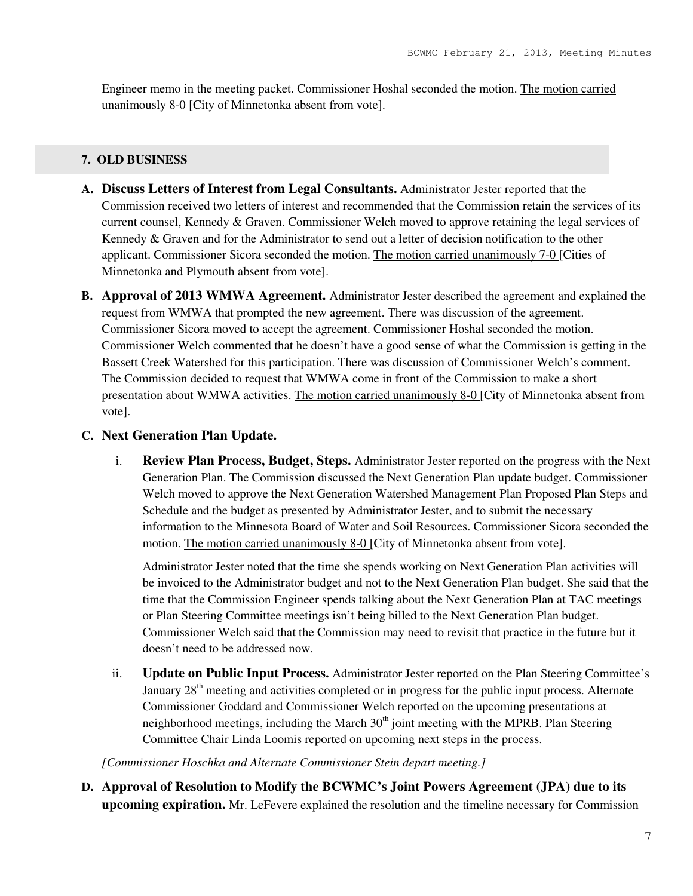Engineer memo in the meeting packet. Commissioner Hoshal seconded the motion. The motion carried unanimously 8-0 [City of Minnetonka absent from vote].

### **7. OLD BUSINESS**

- **A. Discuss Letters of Interest from Legal Consultants.** Administrator Jester reported that the Commission received two letters of interest and recommended that the Commission retain the services of its current counsel, Kennedy & Graven. Commissioner Welch moved to approve retaining the legal services of Kennedy & Graven and for the Administrator to send out a letter of decision notification to the other applicant. Commissioner Sicora seconded the motion. The motion carried unanimously 7-0 [Cities of Minnetonka and Plymouth absent from vote].
- **B. Approval of 2013 WMWA Agreement.** Administrator Jester described the agreement and explained the request from WMWA that prompted the new agreement. There was discussion of the agreement. Commissioner Sicora moved to accept the agreement. Commissioner Hoshal seconded the motion. Commissioner Welch commented that he doesn't have a good sense of what the Commission is getting in the Bassett Creek Watershed for this participation. There was discussion of Commissioner Welch's comment. The Commission decided to request that WMWA come in front of the Commission to make a short presentation about WMWA activities. The motion carried unanimously 8-0 [City of Minnetonka absent from vote].

# **C. Next Generation Plan Update.**

i. **Review Plan Process, Budget, Steps.** Administrator Jester reported on the progress with the Next Generation Plan. The Commission discussed the Next Generation Plan update budget. Commissioner Welch moved to approve the Next Generation Watershed Management Plan Proposed Plan Steps and Schedule and the budget as presented by Administrator Jester, and to submit the necessary information to the Minnesota Board of Water and Soil Resources. Commissioner Sicora seconded the motion. The motion carried unanimously 8-0 [City of Minnetonka absent from vote].

Administrator Jester noted that the time she spends working on Next Generation Plan activities will be invoiced to the Administrator budget and not to the Next Generation Plan budget. She said that the time that the Commission Engineer spends talking about the Next Generation Plan at TAC meetings or Plan Steering Committee meetings isn't being billed to the Next Generation Plan budget. Commissioner Welch said that the Commission may need to revisit that practice in the future but it doesn't need to be addressed now.

ii. **Update on Public Input Process.** Administrator Jester reported on the Plan Steering Committee's January  $28<sup>th</sup>$  meeting and activities completed or in progress for the public input process. Alternate Commissioner Goddard and Commissioner Welch reported on the upcoming presentations at neighborhood meetings, including the March  $30<sup>th</sup>$  joint meeting with the MPRB. Plan Steering Committee Chair Linda Loomis reported on upcoming next steps in the process.

*[Commissioner Hoschka and Alternate Commissioner Stein depart meeting.]* 

**D. Approval of Resolution to Modify the BCWMC's Joint Powers Agreement (JPA) due to its upcoming expiration.** Mr. LeFevere explained the resolution and the timeline necessary for Commission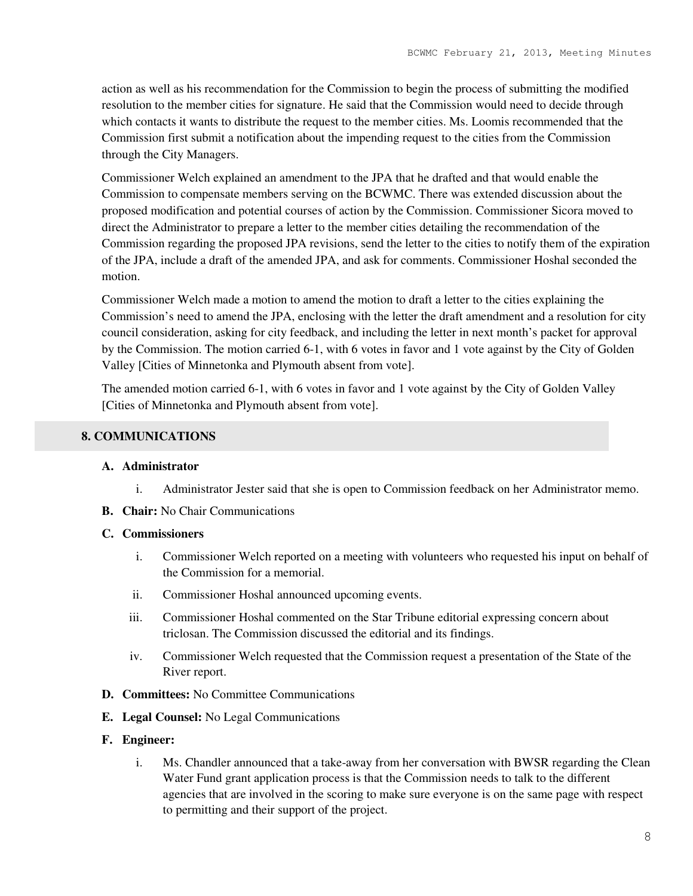action as well as his recommendation for the Commission to begin the process of submitting the modified resolution to the member cities for signature. He said that the Commission would need to decide through which contacts it wants to distribute the request to the member cities. Ms. Loomis recommended that the Commission first submit a notification about the impending request to the cities from the Commission through the City Managers.

Commissioner Welch explained an amendment to the JPA that he drafted and that would enable the Commission to compensate members serving on the BCWMC. There was extended discussion about the proposed modification and potential courses of action by the Commission. Commissioner Sicora moved to direct the Administrator to prepare a letter to the member cities detailing the recommendation of the Commission regarding the proposed JPA revisions, send the letter to the cities to notify them of the expiration of the JPA, include a draft of the amended JPA, and ask for comments. Commissioner Hoshal seconded the motion.

Commissioner Welch made a motion to amend the motion to draft a letter to the cities explaining the Commission's need to amend the JPA, enclosing with the letter the draft amendment and a resolution for city council consideration, asking for city feedback, and including the letter in next month's packet for approval by the Commission. The motion carried 6-1, with 6 votes in favor and 1 vote against by the City of Golden Valley [Cities of Minnetonka and Plymouth absent from vote].

The amended motion carried 6-1, with 6 votes in favor and 1 vote against by the City of Golden Valley [Cities of Minnetonka and Plymouth absent from vote].

## **8. COMMUNICATIONS**

### **A. Administrator**

- i. Administrator Jester said that she is open to Commission feedback on her Administrator memo.
- **B. Chair:** No Chair Communications

#### **C. Commissioners**

- i. Commissioner Welch reported on a meeting with volunteers who requested his input on behalf of the Commission for a memorial.
- ii. Commissioner Hoshal announced upcoming events.
- iii. Commissioner Hoshal commented on the Star Tribune editorial expressing concern about triclosan. The Commission discussed the editorial and its findings.
- iv. Commissioner Welch requested that the Commission request a presentation of the State of the River report.
- **D. Committees:** No Committee Communications
- **E. Legal Counsel:** No Legal Communications

#### **F. Engineer:**

i. Ms. Chandler announced that a take-away from her conversation with BWSR regarding the Clean Water Fund grant application process is that the Commission needs to talk to the different agencies that are involved in the scoring to make sure everyone is on the same page with respect to permitting and their support of the project.